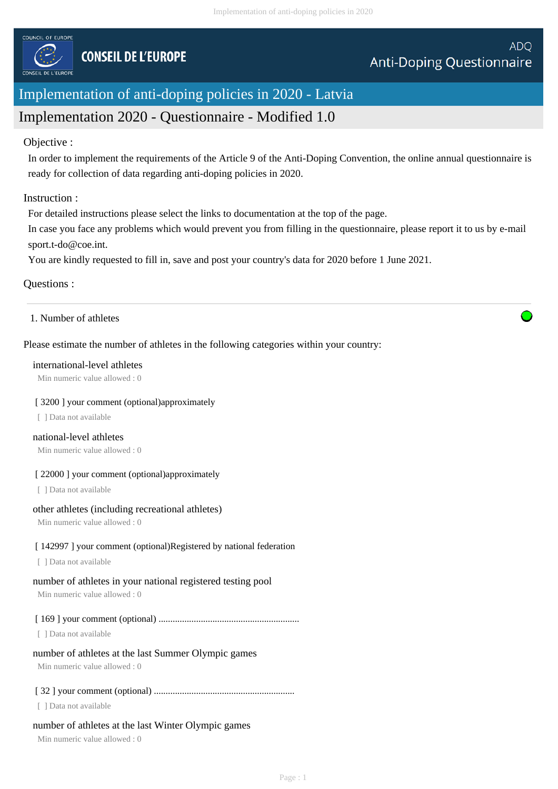

# Implementation of anti-doping policies in 2020 - Latvia

# Implementation 2020 - Questionnaire - Modified 1.0

## Objective :

In order to implement the requirements of the Article 9 of the Anti-Doping Convention, the online annual questionnaire is ready for collection of data regarding anti-doping policies in 2020.

## Instruction :

For detailed instructions please select the links to documentation at the top of the page.

In case you face any problems which would prevent you from filling in the questionnaire, please report it to us by e-mail sport.t-do@coe.int.

You are kindly requested to fill in, save and post your country's data for 2020 before 1 June 2021.

## Questions :

## 1. Number of athletes

## Please estimate the number of athletes in the following categories within your country:

### international-level athletes

Min numeric value allowed : 0

#### [ 3200 ] your comment (optional)approximately

[ ] Data not available

## national-level athletes

Min numeric value allowed : 0

## [ 22000 ] your comment (optional)approximately

[ ] Data not available

## other athletes (including recreational athletes)

Min numeric value allowed : 0

## [ 142997 ] your comment (optional)Registered by national federation

[ ] Data not available

## number of athletes in your national registered testing pool

Min numeric value allowed : 0

## [ 169 ] your comment (optional) ............................................................

[ ] Data not available

## number of athletes at the last Summer Olympic games

Min numeric value allowed : 0

## [ 32 ] your comment (optional) ............................................................

[ ] Data not available

## number of athletes at the last Winter Olympic games

Min numeric value allowed : 0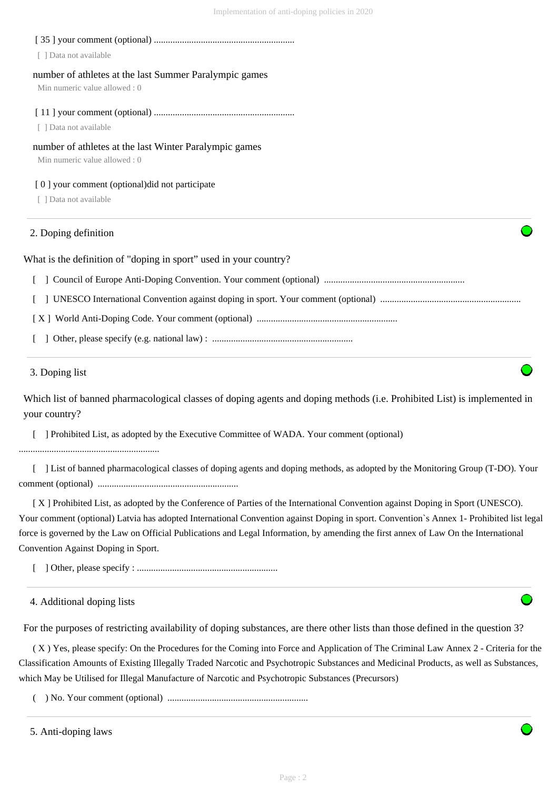# [ 35 ] your comment (optional) ............................................................ [ ] Data not available number of athletes at the last Summer Paralympic games Min numeric value allowed : 0 [ 11 ] your comment (optional) ............................................................ [ ] Data not available number of athletes at the last Winter Paralympic games Min numeric value allowed : 0 [0] your comment (optional)did not participate [ ] Data not available What is the definition of "doping in sport" used in your country? [ ] Council of Europe Anti-Doping Convention. Your comment (optional) ............................................................ [ ] UNESCO International Convention against doping in sport. Your comment (optional) ............................................................ [ X ] World Anti-Doping Code. Your comment (optional) ............................................................ 2. Doping definition

[ ] Other, please specify (e.g. national law) : ............................................................

## 3. Doping list

Which list of banned pharmacological classes of doping agents and doping methods (i.e. Prohibited List) is implemented in your country?

[ ] Prohibited List, as adopted by the Executive Committee of WADA. Your comment (optional)

............................................................

 [ ] List of banned pharmacological classes of doping agents and doping methods, as adopted by the Monitoring Group (T-DO). Your comment (optional) ............................................................

 [ X ] Prohibited List, as adopted by the Conference of Parties of the International Convention against Doping in Sport (UNESCO). Your comment (optional) Latvia has adopted International Convention against Doping in sport. Convention`s Annex 1- Prohibited list legal force is governed by the Law on Official Publications and Legal Information, by amending the first annex of Law On the International Convention Against Doping in Sport.

[ ] Other, please specify : ............................................................

4. Additional doping lists

For the purposes of restricting availability of doping substances, are there other lists than those defined in the question 3?

 ( X ) Yes, please specify: On the Procedures for the Coming into Force and Application of The Criminal Law Annex 2 - Criteria for the Classification Amounts of Existing Illegally Traded Narcotic and Psychotropic Substances and Medicinal Products, as well as Substances, which May be Utilised for Illegal Manufacture of Narcotic and Psychotropic Substances (Precursors)

( ) No. Your comment (optional) ............................................................

<sup>5.</sup> Anti-doping laws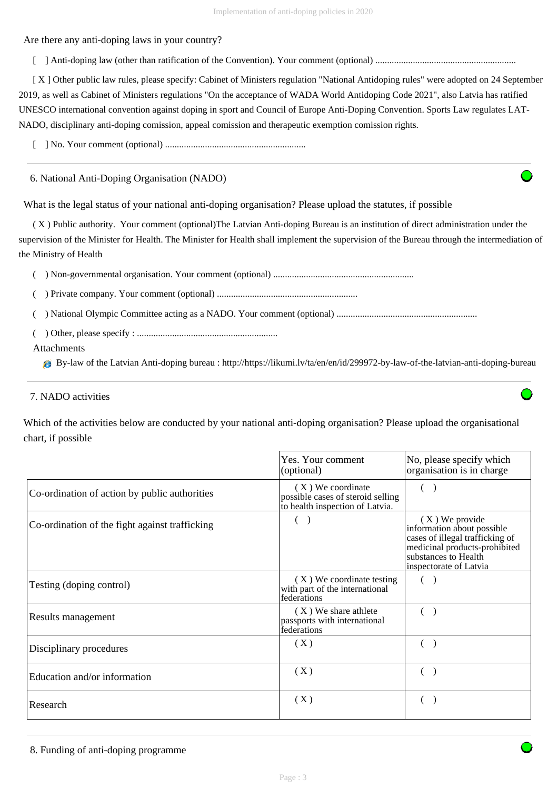Are there any anti-doping laws in your country?

[ ] Anti-doping law (other than ratification of the Convention). Your comment (optional) ............................................................

 [ X ] Other public law rules, please specify: Cabinet of Ministers regulation "National Antidoping rules" were adopted on 24 September 2019, as well as Cabinet of Ministers regulations "On the acceptance of WADA World Antidoping Code 2021", also Latvia has ratified UNESCO international convention against doping in sport and Council of Europe Anti-Doping Convention. Sports Law regulates LAT-NADO, disciplinary anti-doping comission, appeal comission and therapeutic exemption comission rights.

[ ] No. Your comment (optional) ............................................................

6. National Anti-Doping Organisation (NADO)

What is the legal status of your national anti-doping organisation? Please upload the statutes, if possible

 ( X ) Public authority. Your comment (optional)The Latvian Anti-doping Bureau is an institution of direct administration under the supervision of the Minister for Health. The Minister for Health shall implement the supervision of the Bureau through the intermediation of the Ministry of Health

( ) Non-governmental organisation. Your comment (optional) ............................................................

( ) Private company. Your comment (optional) ............................................................

( ) National Olympic Committee acting as a NADO. Your comment (optional) ............................................................

( ) Other, please specify : ............................................................

## Attachments

By-law of the Latvian Anti-doping bureau : http://https://likumi.lv/ta/en/en/id/299972-by-law-of-the-latvian-anti-doping-bureau

## 7. NADO activities

Which of the activities below are conducted by your national anti-doping organisation? Please upload the organisational chart, if possible

|                                                                | Yes. Your comment<br>(optional)                                                           | No, please specify which<br>organisation is in charge                                                                                                                |
|----------------------------------------------------------------|-------------------------------------------------------------------------------------------|----------------------------------------------------------------------------------------------------------------------------------------------------------------------|
| Co-ordination of action by public authorities                  | (X) We coordinate<br>possible cases of steroid selling<br>to health inspection of Latvia. | $($ )                                                                                                                                                                |
| $\mathbf{C}$<br>Co-ordination of the fight against trafficking |                                                                                           | $(X)$ We provide<br>information about possible<br>cases of illegal trafficking of<br>medicinal products-prohibited<br>substances to Health<br>inspectorate of Latvia |
| Testing (doping control)                                       | (X) We coordinate testing<br>with part of the international<br>federations                |                                                                                                                                                                      |
| Results management                                             | (X) We share athlete<br>passports with international<br>federations                       |                                                                                                                                                                      |
| Disciplinary procedures                                        | (X)                                                                                       |                                                                                                                                                                      |
| Education and/or information                                   | (X)                                                                                       |                                                                                                                                                                      |
| Research                                                       | (X)                                                                                       |                                                                                                                                                                      |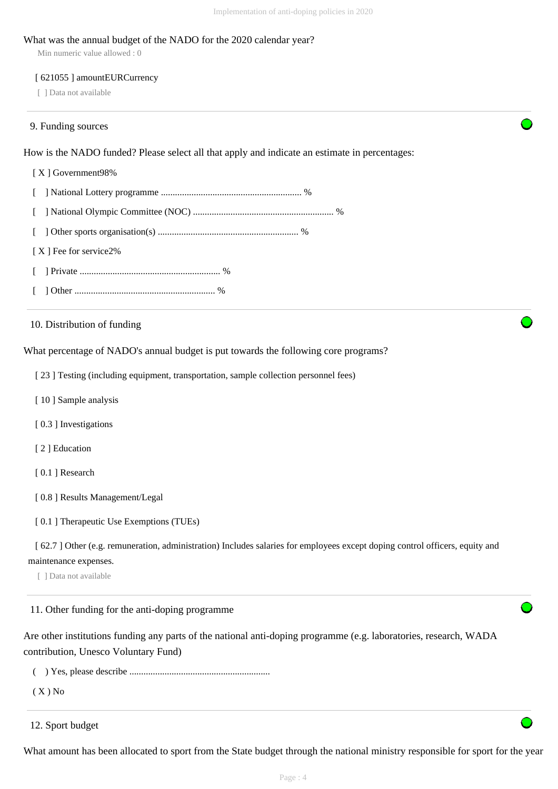#### What was the annual budget of the NADO for the 2020 calendar year?

Min numeric value allowed : 0

#### [ 621055 ] amountEURCurrency

[ ] Data not available

#### 9. Funding sources

How is the NADO funded? Please select all that apply and indicate an estimate in percentages:

## [ X ] Government98%

[ ] National Lottery programme ............................................................ %

- [ ] National Olympic Committee (NOC) ............................................................ %
- [ ] Other sports organisation(s) ............................................................ %
- [X ] Fee for service2%
- [ ] Private ............................................................ %
- [ ] Other ............................................................ %

10. Distribution of funding

What percentage of NADO's annual budget is put towards the following core programs?

[ 23 ] Testing (including equipment, transportation, sample collection personnel fees)

- [ 10 ] Sample analysis
- [0.3] Investigations
- [ 2 ] Education
- [0.1] Research
- [ 0.8 ] Results Management/Legal
- [ 0.1 ] Therapeutic Use Exemptions (TUEs)

[ 62.7 ] Other (e.g. remuneration, administration) Includes salaries for employees except doping control officers, equity and maintenance expenses.

[ ] Data not available

11. Other funding for the anti-doping programme

Are other institutions funding any parts of the national anti-doping programme (e.g. laboratories, research, WADA contribution, Unesco Voluntary Fund)

( ) Yes, please describe ............................................................

( X ) No

12. Sport budget

What amount has been allocated to sport from the State budget through the national ministry responsible for sport for the year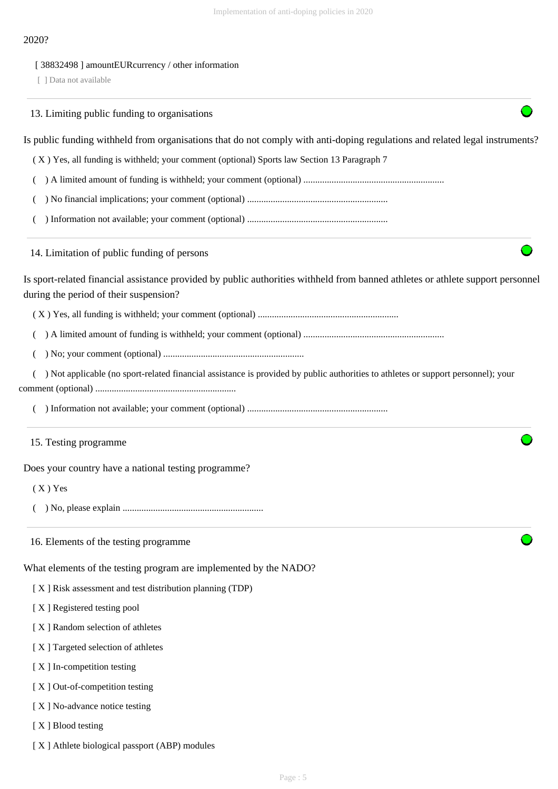## 2020?

## [ 38832498 ] amountEURcurrency / other information

[ ] Data not available

|                   | 13. Limiting public funding to organisations                                                                                                                              |
|-------------------|---------------------------------------------------------------------------------------------------------------------------------------------------------------------------|
|                   | Is public funding withheld from organisations that do not comply with anti-doping regulations and related legal instruments?                                              |
|                   | (X) Yes, all funding is withheld; your comment (optional) Sports law Section 13 Paragraph 7                                                                               |
|                   |                                                                                                                                                                           |
|                   |                                                                                                                                                                           |
|                   |                                                                                                                                                                           |
|                   | 14. Limitation of public funding of persons                                                                                                                               |
|                   | Is sport-related financial assistance provided by public authorities withheld from banned athletes or athlete support personnel<br>during the period of their suspension? |
|                   |                                                                                                                                                                           |
|                   |                                                                                                                                                                           |
|                   |                                                                                                                                                                           |
|                   | ) Not applicable (no sport-related financial assistance is provided by public authorities to athletes or support personnel); your                                         |
|                   |                                                                                                                                                                           |
|                   | 15. Testing programme                                                                                                                                                     |
|                   | Does your country have a national testing programme?                                                                                                                      |
| $(X)$ Yes         |                                                                                                                                                                           |
|                   |                                                                                                                                                                           |
|                   | 16. Elements of the testing programme                                                                                                                                     |
|                   | What elements of the testing program are implemented by the NADO?                                                                                                         |
|                   | [X] Risk assessment and test distribution planning (TDP)                                                                                                                  |
|                   | [X] Registered testing pool                                                                                                                                               |
|                   | [X] Random selection of athletes                                                                                                                                          |
|                   | [X] Targeted selection of athletes                                                                                                                                        |
|                   | [X] In-competition testing                                                                                                                                                |
|                   | [X] Out-of-competition testing                                                                                                                                            |
|                   | [X] No-advance notice testing                                                                                                                                             |
| [X] Blood testing |                                                                                                                                                                           |

[ X ] Athlete biological passport (ABP) modules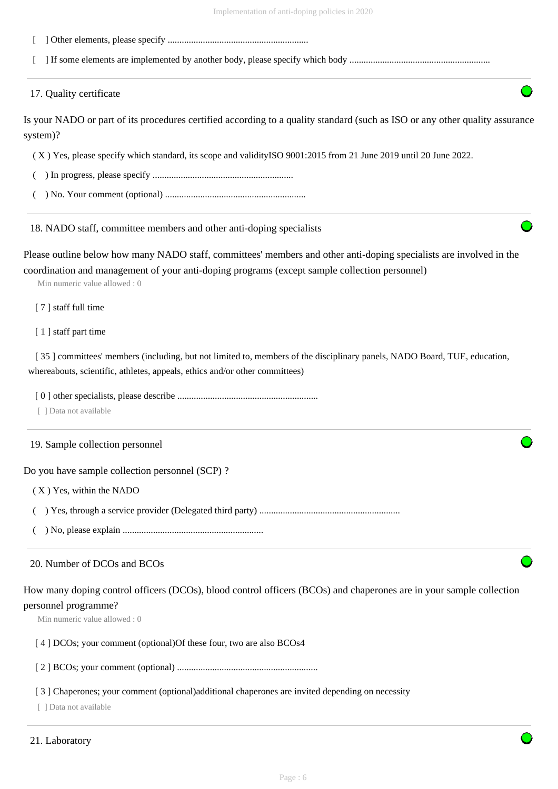- [ ] Other elements, please specify ............................................................
- [ ] If some elements are implemented by another body, please specify which body ............................................................

17. Quality certificate

Is your NADO or part of its procedures certified according to a quality standard (such as ISO or any other quality assurance system)?

( X ) Yes, please specify which standard, its scope and validityISO 9001:2015 from 21 June 2019 until 20 June 2022.

- ( ) In progress, please specify ............................................................
- ( ) No. Your comment (optional) ............................................................

18. NADO staff, committee members and other anti-doping specialists

Please outline below how many NADO staff, committees' members and other anti-doping specialists are involved in the coordination and management of your anti-doping programs (except sample collection personnel)

Min numeric value allowed : 0

[ 7 ] staff full time

[1] staff part time

[ 35 ] committees' members (including, but not limited to, members of the disciplinary panels, NADO Board, TUE, education, whereabouts, scientific, athletes, appeals, ethics and/or other committees)

[ 0 ] other specialists, please describe ............................................................

[ ] Data not available

19. Sample collection personnel

Do you have sample collection personnel (SCP) ?

( X ) Yes, within the NADO

( ) Yes, through a service provider (Delegated third party) ............................................................

( ) No, please explain ............................................................

## 20. Number of DCOs and BCOs

How many doping control officers (DCOs), blood control officers (BCOs) and chaperones are in your sample collection

# personnel programme?

Min numeric value allowed : 0

#### [4] DCOs; your comment (optional) Of these four, two are also BCOs4

[ 2 ] BCOs; your comment (optional) ............................................................

### [3] Chaperones; your comment (optional)additional chaperones are invited depending on necessity

[ ] Data not available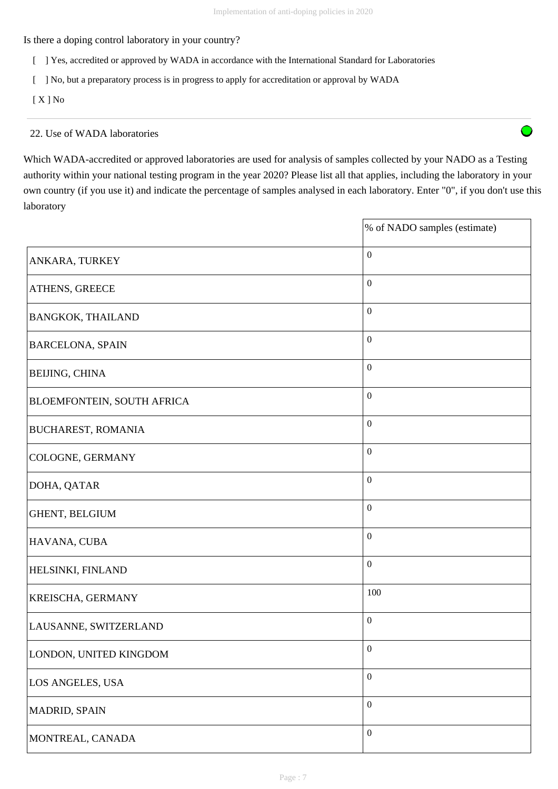Is there a doping control laboratory in your country?

- [ ] Yes, accredited or approved by WADA in accordance with the International Standard for Laboratories
- [ ] No, but a preparatory process is in progress to apply for accreditation or approval by WADA

[ X ] No

## 22. Use of WADA laboratories

Which WADA-accredited or approved laboratories are used for analysis of samples collected by your NADO as a Testing authority within your national testing program in the year 2020? Please list all that applies, including the laboratory in your own country (if you use it) and indicate the percentage of samples analysed in each laboratory. Enter "0", if you don't use this laboratory

|                            | % of NADO samples (estimate) |
|----------------------------|------------------------------|
| ANKARA, TURKEY             | $\boldsymbol{0}$             |
| ATHENS, GREECE             | $\boldsymbol{0}$             |
| <b>BANGKOK, THAILAND</b>   | $\boldsymbol{0}$             |
| <b>BARCELONA, SPAIN</b>    | $\boldsymbol{0}$             |
| BEIJING, CHINA             | $\boldsymbol{0}$             |
| BLOEMFONTEIN, SOUTH AFRICA | $\boldsymbol{0}$             |
| <b>BUCHAREST, ROMANIA</b>  | $\boldsymbol{0}$             |
| COLOGNE, GERMANY           | $\boldsymbol{0}$             |
| DOHA, QATAR                | $\boldsymbol{0}$             |
| GHENT, BELGIUM             | $\boldsymbol{0}$             |
| HAVANA, CUBA               | $\boldsymbol{0}$             |
| HELSINKI, FINLAND          | $\boldsymbol{0}$             |
| KREISCHA, GERMANY          | 100                          |
| LAUSANNE, SWITZERLAND      | $\boldsymbol{0}$             |
| LONDON, UNITED KINGDOM     | $\boldsymbol{0}$             |
| LOS ANGELES, USA           | $\boldsymbol{0}$             |
| MADRID, SPAIN              | $\boldsymbol{0}$             |
| MONTREAL, CANADA           | $\boldsymbol{0}$             |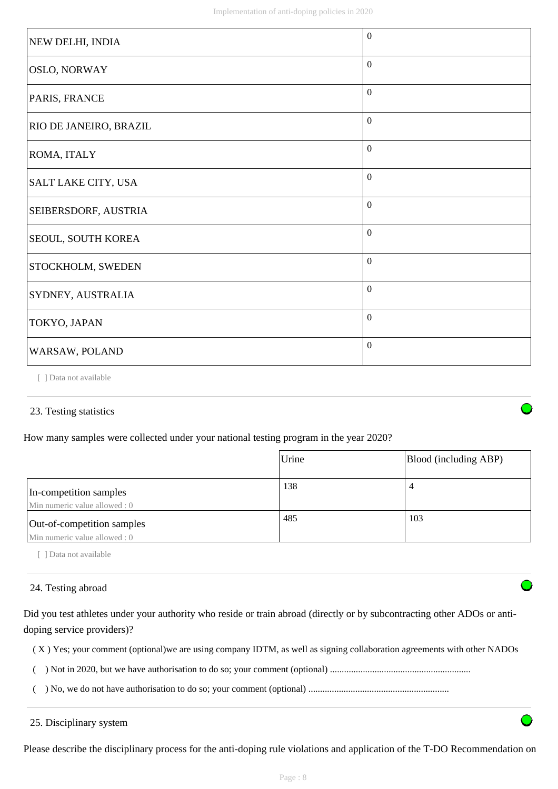| NEW DELHI, INDIA          | $\theta$         |
|---------------------------|------------------|
| <b>OSLO, NORWAY</b>       | $\boldsymbol{0}$ |
| PARIS, FRANCE             | $\theta$         |
| RIO DE JANEIRO, BRAZIL    | $\mathbf{0}$     |
| ROMA, ITALY               | $\mathbf{0}$     |
| SALT LAKE CITY, USA       | $\mathbf{0}$     |
| SEIBERSDORF, AUSTRIA      | $\mathbf{0}$     |
| <b>SEOUL, SOUTH KOREA</b> | $\mathbf{0}$     |
| STOCKHOLM, SWEDEN         | $\boldsymbol{0}$ |
| SYDNEY, AUSTRALIA         | $\boldsymbol{0}$ |
| TOKYO, JAPAN              | $\overline{0}$   |
| WARSAW, POLAND            | $\mathbf{0}$     |

[ ] Data not available

## 23. Testing statistics

How many samples were collected under your national testing program in the year 2020?

|                                                            | Urine | Blood (including ABP) |
|------------------------------------------------------------|-------|-----------------------|
| In-competition samples<br>Min numeric value allowed: 0     | 138   | $\overline{4}$        |
| Out-of-competition samples<br>Min numeric value allowed: 0 | 485   | 103                   |

[ ] Data not available

## 24. Testing abroad

Did you test athletes under your authority who reside or train abroad (directly or by subcontracting other ADOs or antidoping service providers)?

- ( X ) Yes; your comment (optional)we are using company IDTM, as well as signing collaboration agreements with other NADOs
- ( ) Not in 2020, but we have authorisation to do so; your comment (optional) ............................................................
- ( ) No, we do not have authorisation to do so; your comment (optional) ............................................................

25. Disciplinary system

Please describe the disciplinary process for the anti-doping rule violations and application of the T-DO Recommendation on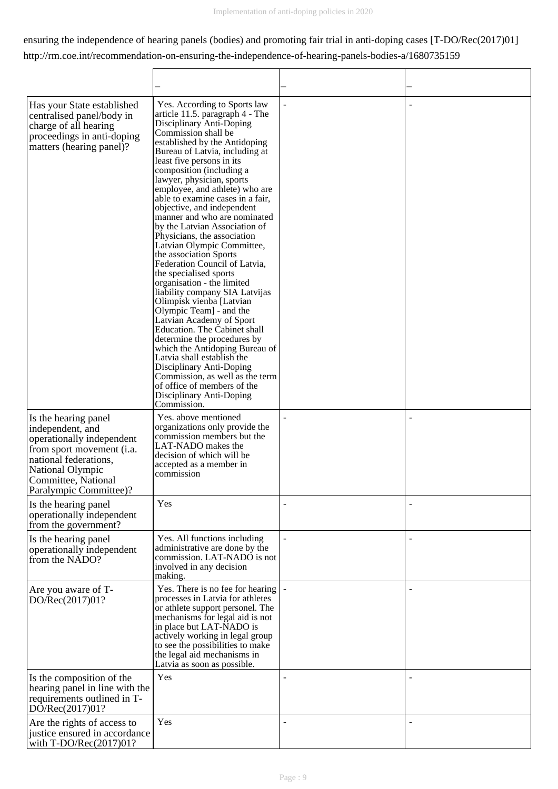## ensuring the independence of hearing panels (bodies) and promoting fair trial in anti-doping cases [T-DO/Rec(2017)01] http://rm.coe.int/recommendation-on-ensuring-the-independence-of-hearing-panels-bodies-a/1680735159

| Has your State established<br>centralised panel/body in<br>charge of all hearing<br>proceedings in anti-doping<br>matters (hearing panel)?                                                       | Yes. According to Sports law<br>article 11.5. paragraph 4 - The<br>Disciplinary Anti-Doping<br>Commission shall be<br>established by the Antidoping<br>Bureau of Latvia, including at<br>least five persons in its<br>composition (including a<br>lawyer, physician, sports<br>employee, and athlete) who are<br>able to examine cases in a fair,<br>objective, and independent<br>manner and who are nominated<br>by the Latvian Association of<br>Physicians, the association<br>Latvian Olympic Committee,<br>the association Sports<br>Federation Council of Latvia,<br>the specialised sports<br>organisation - the limited<br>liability company SIA Latvijas<br>Olimpisk vienba [Latvian<br>Olympic Team] - and the<br>Latvian Academy of Sport<br>Education. The Cabinet shall<br>determine the procedures by<br>which the Antidoping Bureau of<br>Latvia shall establish the<br>Disciplinary Anti-Doping<br>Commission, as well as the term<br>of office of members of the<br>Disciplinary Anti-Doping<br>Commission. | $\sim$                   |  |
|--------------------------------------------------------------------------------------------------------------------------------------------------------------------------------------------------|-------------------------------------------------------------------------------------------------------------------------------------------------------------------------------------------------------------------------------------------------------------------------------------------------------------------------------------------------------------------------------------------------------------------------------------------------------------------------------------------------------------------------------------------------------------------------------------------------------------------------------------------------------------------------------------------------------------------------------------------------------------------------------------------------------------------------------------------------------------------------------------------------------------------------------------------------------------------------------------------------------------------------------|--------------------------|--|
| Is the hearing panel<br>independent, and<br>operationally independent<br>from sport movement (i.a.<br>national federations.<br>National Olympic<br>Committee, National<br>Paralympic Committee)? | Yes. above mentioned<br>organizations only provide the<br>commission members but the<br>LAT-NADO makes the<br>decision of which will be<br>accepted as a member in<br>commission                                                                                                                                                                                                                                                                                                                                                                                                                                                                                                                                                                                                                                                                                                                                                                                                                                              |                          |  |
| Is the hearing panel<br>operationally independent<br>from the government?                                                                                                                        | Yes                                                                                                                                                                                                                                                                                                                                                                                                                                                                                                                                                                                                                                                                                                                                                                                                                                                                                                                                                                                                                           |                          |  |
| Is the hearing panel<br>operationally independent<br>from the NADO?                                                                                                                              | Yes. All functions including<br>administrative are done by the<br>commission. LAT-NADO is not<br>involved in any decision<br>making.                                                                                                                                                                                                                                                                                                                                                                                                                                                                                                                                                                                                                                                                                                                                                                                                                                                                                          |                          |  |
| Are you aware of T-<br>DO/Rec(2017)01?                                                                                                                                                           | Yes. There is no fee for hearing<br>processes in Latvia for athletes<br>or athlete support personel. The<br>mechanisms for legal aid is not<br>in place but LAT-NADO is<br>actively working in legal group<br>to see the possibilities to make<br>the legal aid mechanisms in<br>Latvia as soon as possible.                                                                                                                                                                                                                                                                                                                                                                                                                                                                                                                                                                                                                                                                                                                  |                          |  |
| Is the composition of the<br>hearing panel in line with the<br>requirements outlined in T-<br>DO/Rec(2017)01?                                                                                    | Yes                                                                                                                                                                                                                                                                                                                                                                                                                                                                                                                                                                                                                                                                                                                                                                                                                                                                                                                                                                                                                           |                          |  |
| Are the rights of access to<br>justice ensured in accordance<br>with $T\text{-DO/Rec}(2017)01?$                                                                                                  | Yes                                                                                                                                                                                                                                                                                                                                                                                                                                                                                                                                                                                                                                                                                                                                                                                                                                                                                                                                                                                                                           | $\overline{\phantom{0}}$ |  |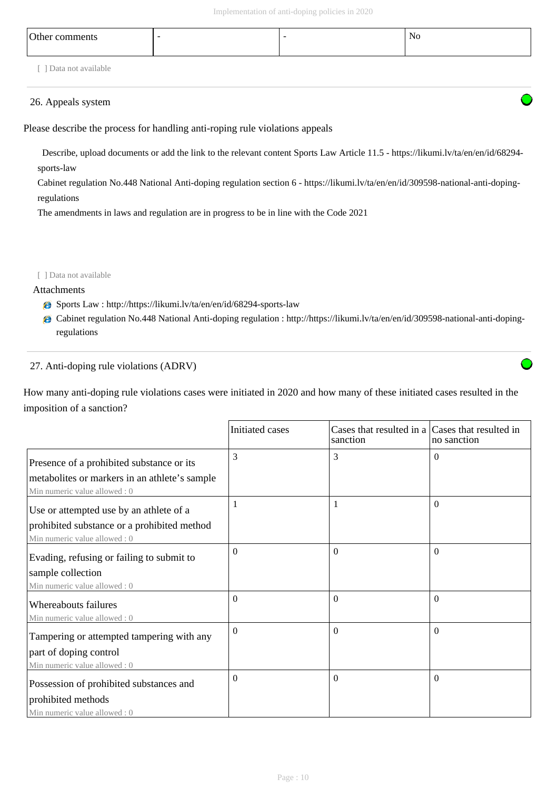| Other comments     | $\overline{\phantom{a}}$ | $\overline{\phantom{0}}$ | No |
|--------------------|--------------------------|--------------------------|----|
| Data not available |                          |                          |    |

## 26. Appeals system

Please describe the process for handling anti-roping rule violations appeals

 Describe, upload documents or add the link to the relevant content Sports Law Article 11.5 - https://likumi.lv/ta/en/en/id/68294 sports-law

Cabinet regulation No.448 National Anti-doping regulation section 6 - https://likumi.lv/ta/en/en/id/309598-national-anti-dopingregulations

The amendments in laws and regulation are in progress to be in line with the Code 2021

#### [ ] Data not available

## Attachments

- Sports Law : http://https://likumi.lv/ta/en/en/id/68294-sports-law
- Cabinet regulation No.448 National Anti-doping regulation : http://https://likumi.lv/ta/en/en/id/309598-national-anti-dopingregulations

## 27. Anti-doping rule violations (ADRV)

How many anti-doping rule violations cases were initiated in 2020 and how many of these initiated cases resulted in the imposition of a sanction?

|                                                                               | Initiated cases | Cases that resulted in a Cases that resulted in<br>sanction | no sanction |
|-------------------------------------------------------------------------------|-----------------|-------------------------------------------------------------|-------------|
| Presence of a prohibited substance or its                                     | 3               | 3                                                           | $\Omega$    |
| metabolites or markers in an athlete's sample<br>Min numeric value allowed: 0 |                 |                                                             |             |
| Use or attempted use by an athlete of a                                       |                 | 1                                                           | $\Omega$    |
| prohibited substance or a prohibited method<br>Min numeric value allowed: 0   |                 |                                                             |             |
| Evading, refusing or failing to submit to                                     | $\theta$        | $\Omega$                                                    | $\Omega$    |
| sample collection                                                             |                 |                                                             |             |
| Min numeric value allowed: 0                                                  |                 |                                                             |             |
| Whereabouts failures                                                          | $\Omega$        | $\Omega$                                                    | $\Omega$    |
| Min numeric value allowed: 0                                                  |                 |                                                             |             |
| Tampering or attempted tampering with any                                     | $\Omega$        | $\Omega$                                                    | $\Omega$    |
| part of doping control                                                        |                 |                                                             |             |
| Min numeric value allowed: 0                                                  |                 |                                                             |             |
| Possession of prohibited substances and                                       | $\Omega$        | $\Omega$                                                    | $\Omega$    |
| prohibited methods                                                            |                 |                                                             |             |
| Min numeric value allowed: 0                                                  |                 |                                                             |             |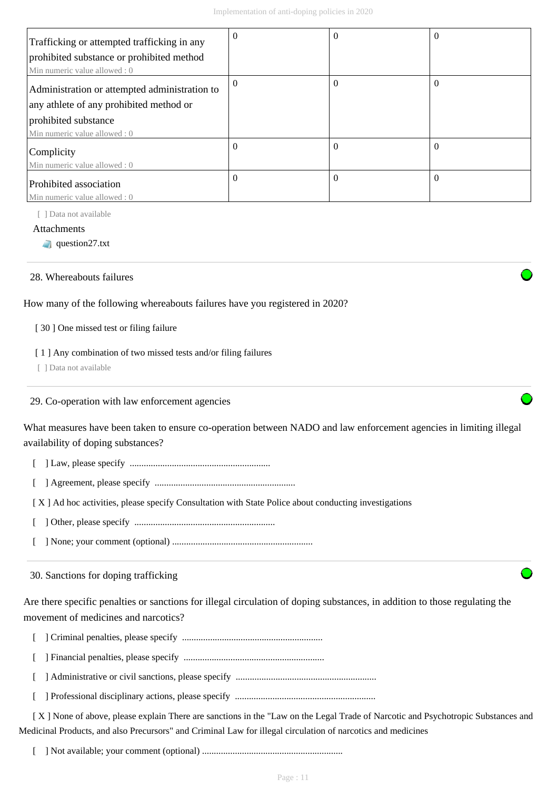| Trafficking or attempted trafficking in any   | $\Omega$ | $\theta$ | $\theta$ |
|-----------------------------------------------|----------|----------|----------|
| prohibited substance or prohibited method     |          |          |          |
| Min numeric value allowed: 0                  |          |          |          |
| Administration or attempted administration to | $\Omega$ | $\Omega$ | $\theta$ |
| any athlete of any prohibited method or       |          |          |          |
| prohibited substance                          |          |          |          |
| Min numeric value allowed : 0                 |          |          |          |
| Complicity                                    | $\Omega$ | $\theta$ | $\left($ |
| Min numeric value allowed: 0                  |          |          |          |
| Prohibited association                        | $\Omega$ | $\Omega$ | $\theta$ |
| Min numeric value allowed: 0                  |          |          |          |

[ ] Data not available

Attachments

question27.txt

## 28. Whereabouts failures

How many of the following whereabouts failures have you registered in 2020?

[ 30 ] One missed test or filing failure

## [ 1 ] Any combination of two missed tests and/or filing failures

[ ] Data not available

#### 29. Co-operation with law enforcement agencies

What measures have been taken to ensure co-operation between NADO and law enforcement agencies in limiting illegal availability of doping substances?

- [ ] Law, please specify ............................................................
- [ ] Agreement, please specify ............................................................

[ X ] Ad hoc activities, please specify Consultation with State Police about conducting investigations

- [ ] Other, please specify ............................................................
- [ ] None; your comment (optional) ............................................................

30. Sanctions for doping trafficking

Are there specific penalties or sanctions for illegal circulation of doping substances, in addition to those regulating the movement of medicines and narcotics?

- [ ] Criminal penalties, please specify ............................................................
- [ ] Financial penalties, please specify ............................................................
- [ ] Administrative or civil sanctions, please specify ............................................................
- [ ] Professional disciplinary actions, please specify ............................................................

 [ X ] None of above, please explain There are sanctions in the "Law on the Legal Trade of Narcotic and Psychotropic Substances and Medicinal Products, and also Precursors" and Criminal Law for illegal circulation of narcotics and medicines

[ ] Not available; your comment (optional) ............................................................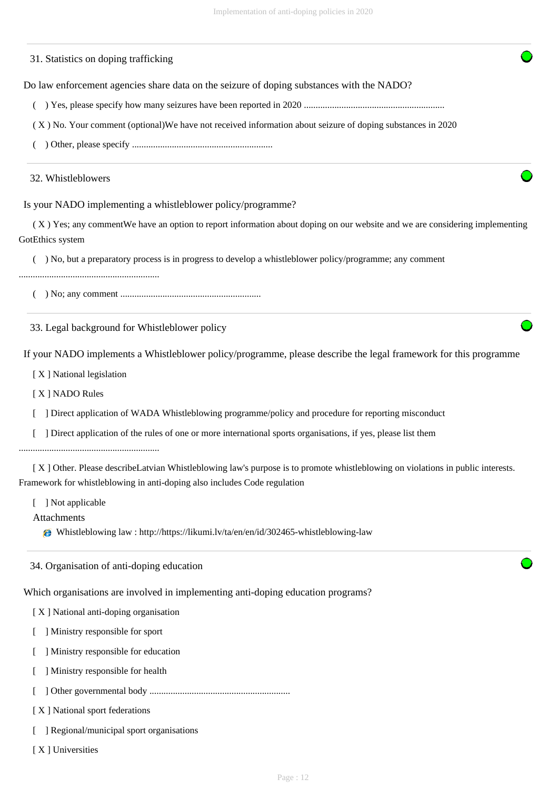#### 31. Statistics on doping trafficking

Do law enforcement agencies share data on the seizure of doping substances with the NADO?

( ) Yes, please specify how many seizures have been reported in 2020 ............................................................

( X ) No. Your comment (optional)We have not received information about seizure of doping substances in 2020

( ) Other, please specify ............................................................

#### 32. Whistleblowers

Is your NADO implementing a whistleblower policy/programme?

 ( X ) Yes; any commentWe have an option to report information about doping on our website and we are considering implementing GotEthics system

( ) No, but a preparatory process is in progress to develop a whistleblower policy/programme; any comment

............................................................

( ) No; any comment ............................................................

33. Legal background for Whistleblower policy

If your NADO implements a Whistleblower policy/programme, please describe the legal framework for this programme

[ X ] National legislation

[ X ] NADO Rules

[ ] Direct application of WADA Whistleblowing programme/policy and procedure for reporting misconduct

[ ] Direct application of the rules of one or more international sports organisations, if yes, please list them

............................................................

 [ X ] Other. Please describeLatvian Whistleblowing law's purpose is to promote whistleblowing on violations in public interests. Framework for whistleblowing in anti-doping also includes Code regulation

[ ] Not applicable

Attachments

Whistleblowing law : http://https://likumi.lv/ta/en/en/id/302465-whistleblowing-law

34. Organisation of anti-doping education

Which organisations are involved in implementing anti-doping education programs?

[ X ] National anti-doping organisation

[ ] Ministry responsible for sport

[ ] Ministry responsible for education

[ ] Ministry responsible for health

[ ] Other governmental body ............................................................

[ X ] National sport federations

[ ] Regional/municipal sport organisations

[ X ] Universities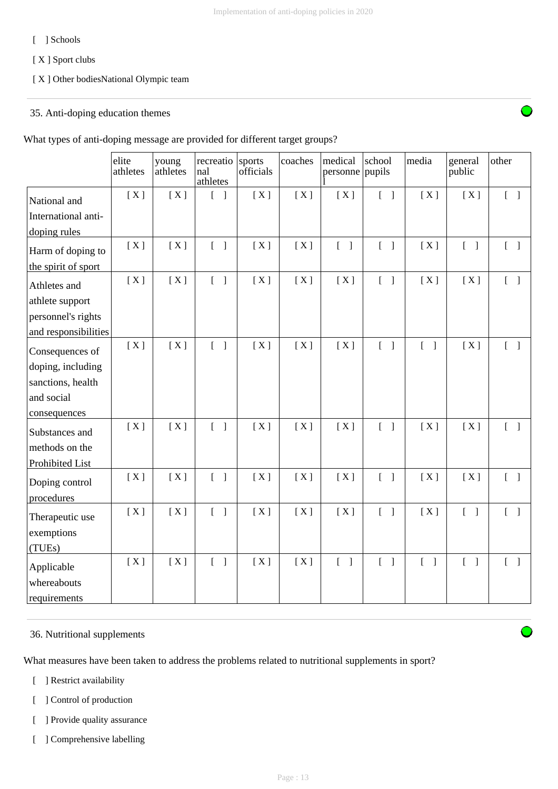## [ ] Schools

[ X ] Sport clubs

## [ X ] Other bodiesNational Olympic team

## 35. Anti-doping education themes

What types of anti-doping message are provided for different target groups?

|                                           | elite<br>athletes | young<br>athletes | recreatio<br>nal<br>athletes      | sports<br>officials | coaches | medical<br>personne pupils        | school                            | media                             | general<br>public                 | other                             |
|-------------------------------------------|-------------------|-------------------|-----------------------------------|---------------------|---------|-----------------------------------|-----------------------------------|-----------------------------------|-----------------------------------|-----------------------------------|
| National and                              | [X]               | [X]               | $\begin{bmatrix} 1 \end{bmatrix}$ | [X]                 | [X]     | [X]                               | $\begin{bmatrix} 1 \end{bmatrix}$ | [X]                               | [X]                               | $[\ ]$                            |
| International anti-                       |                   |                   |                                   |                     |         |                                   |                                   |                                   |                                   |                                   |
| doping rules                              |                   |                   |                                   |                     |         |                                   |                                   |                                   |                                   |                                   |
| Harm of doping to                         | [X]               | [X]               | $\begin{bmatrix} 1 \end{bmatrix}$ | [X]                 | [X]     | $\begin{bmatrix} 1 \end{bmatrix}$ | $\begin{bmatrix} 1 \end{bmatrix}$ | [X]                               | $\begin{bmatrix} 1 \end{bmatrix}$ | $\begin{bmatrix} 1 \end{bmatrix}$ |
| the spirit of sport                       |                   |                   |                                   |                     |         |                                   |                                   |                                   |                                   |                                   |
| Athletes and                              | [X]               | [X]               | $\begin{bmatrix} 1 \end{bmatrix}$ | [X]                 | [X]     | [X]                               | $\begin{bmatrix} 1 \end{bmatrix}$ | [X]                               | [X]                               | $\begin{bmatrix} 1 \end{bmatrix}$ |
| athlete support                           |                   |                   |                                   |                     |         |                                   |                                   |                                   |                                   |                                   |
| personnel's rights                        |                   |                   |                                   |                     |         |                                   |                                   |                                   |                                   |                                   |
| and responsibilities                      |                   |                   |                                   |                     |         |                                   |                                   |                                   |                                   |                                   |
| Consequences of                           | [X]               | [X]               | $\begin{bmatrix} 1 \end{bmatrix}$ | [X]                 | [X]     | [X]                               | $\begin{bmatrix} 1 \end{bmatrix}$ | $\begin{bmatrix} 1 \end{bmatrix}$ | [X]                               | $\begin{bmatrix} 1 \end{bmatrix}$ |
| doping, including                         |                   |                   |                                   |                     |         |                                   |                                   |                                   |                                   |                                   |
| sanctions, health                         |                   |                   |                                   |                     |         |                                   |                                   |                                   |                                   |                                   |
| and social                                |                   |                   |                                   |                     |         |                                   |                                   |                                   |                                   |                                   |
| consequences                              |                   |                   |                                   |                     |         |                                   |                                   |                                   |                                   |                                   |
| Substances and                            | [X]               | [X]               | $\begin{bmatrix} 1 \end{bmatrix}$ | [X]                 | [X]     | [X]                               | $\begin{bmatrix} 1 \end{bmatrix}$ | [X]                               | [X]                               | $\begin{bmatrix} 1 \end{bmatrix}$ |
| methods on the                            |                   |                   |                                   |                     |         |                                   |                                   |                                   |                                   |                                   |
| Prohibited List                           |                   |                   |                                   |                     |         |                                   |                                   |                                   |                                   |                                   |
| Doping control<br>procedures              | [X]               | [X]               | $\begin{bmatrix} 1 \end{bmatrix}$ | [X]                 | [X]     | [X]                               | $\begin{bmatrix} 1 \end{bmatrix}$ | [X]                               | [X]                               | $\begin{bmatrix} 1 \end{bmatrix}$ |
| Therapeutic use                           | [X]               | [X]               | $\begin{bmatrix} 1 \end{bmatrix}$ | [X]                 | [X]     | [X]                               | $\begin{bmatrix} 1 \end{bmatrix}$ | [X]                               | $\begin{bmatrix} 1 \end{bmatrix}$ | $\begin{bmatrix} 1 \end{bmatrix}$ |
| exemptions<br>(TUEs)                      |                   |                   |                                   |                     |         |                                   |                                   |                                   |                                   |                                   |
| Applicable<br>whereabouts<br>requirements | [X]               | [X]               | $\begin{bmatrix} 1 \end{bmatrix}$ | [X]                 | [X]     | $\begin{bmatrix} 1 \end{bmatrix}$ | $\begin{bmatrix} 1 \end{bmatrix}$ | $[\ ]$                            | $\begin{bmatrix} 1 \end{bmatrix}$ | $\begin{bmatrix} 1 \end{bmatrix}$ |

## 36. Nutritional supplements

What measures have been taken to address the problems related to nutritional supplements in sport?

- [ ] Restrict availability
- [ ] Control of production
- [ ] Provide quality assurance
- [ ] Comprehensive labelling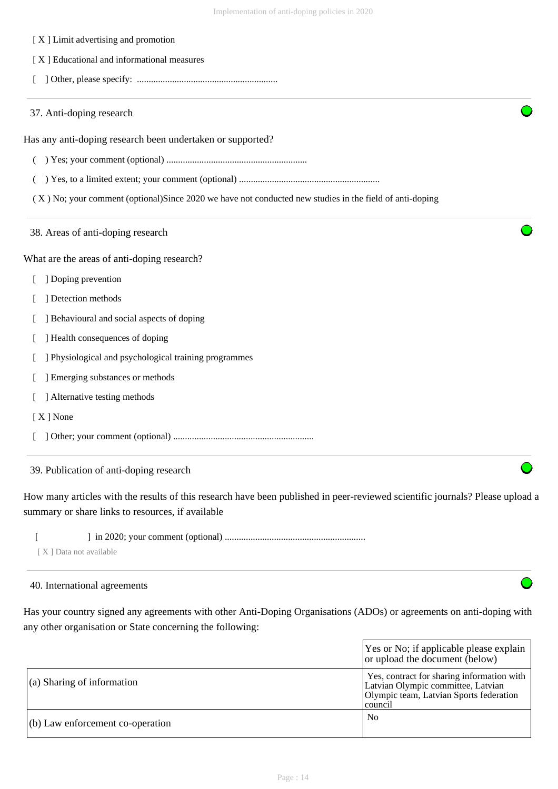- [ X ] Limit advertising and promotion
- [ X ] Educational and informational measures
- [ ] Other, please specify: ............................................................
- 37. Anti-doping research

Has any anti-doping research been undertaken or supported?

- ( ) Yes; your comment (optional) ............................................................
- ( ) Yes, to a limited extent; your comment (optional) ............................................................

( X ) No; your comment (optional)Since 2020 we have not conducted new studies in the field of anti-doping

38. Areas of anti-doping research

What are the areas of anti-doping research?

- [ ] Doping prevention
- [ ] Detection methods
- [ ] Behavioural and social aspects of doping
- [ ] Health consequences of doping
- [ ] Physiological and psychological training programmes
- [ ] Emerging substances or methods
- [ ] Alternative testing methods
- [ X ] None
- [ ] Other; your comment (optional) ............................................................

## 39. Publication of anti-doping research

How many articles with the results of this research have been published in peer-reviewed scientific journals? Please upload a summary or share links to resources, if available

[ ] in 2020; your comment (optional) ............................................................

[ X ] Data not available

## 40. International agreements

Has your country signed any agreements with other Anti-Doping Organisations (ADOs) or agreements on anti-doping with any other organisation or State concerning the following:

|                                    | Yes or No; if applicable please explain<br>or upload the document (below)                                                                |
|------------------------------------|------------------------------------------------------------------------------------------------------------------------------------------|
| $\vert$ (a) Sharing of information | Yes, contract for sharing information with<br>Latvian Olympic committee, Latvian<br>Olympic team, Latvian Sports federation<br>  council |
| $(6)$ Law enforcement co-operation | No                                                                                                                                       |